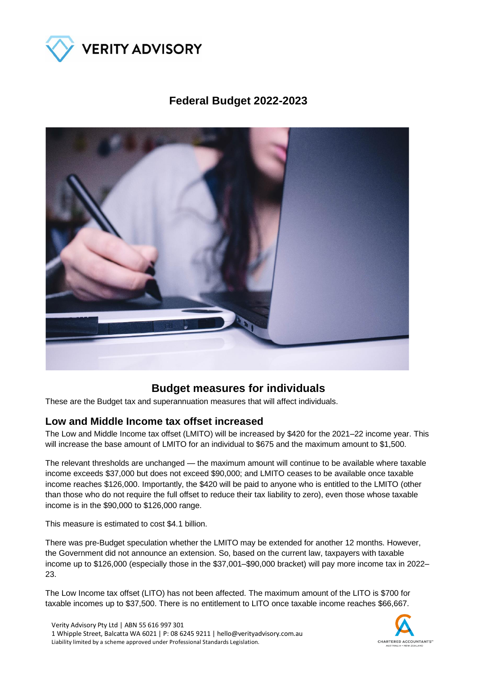

# **Federal Budget 2022-2023**



# **Budget measures for individuals**

These are the Budget tax and superannuation measures that will affect individuals.

### **Low and Middle Income tax offset increased**

The Low and Middle Income tax offset (LMITO) will be increased by \$420 for the 2021–22 income year. This will increase the base amount of LMITO for an individual to \$675 and the maximum amount to \$1,500.

The relevant thresholds are unchanged — the maximum amount will continue to be available where taxable income exceeds \$37,000 but does not exceed \$90,000; and LMITO ceases to be available once taxable income reaches \$126,000. Importantly, the \$420 will be paid to anyone who is entitled to the LMITO (other than those who do not require the full offset to reduce their tax liability to zero), even those whose taxable income is in the \$90,000 to \$126,000 range.

This measure is estimated to cost \$4.1 billion.

There was pre-Budget speculation whether the LMITO may be extended for another 12 months. However, the Government did not announce an extension. So, based on the current law, taxpayers with taxable income up to \$126,000 (especially those in the \$37,001–\$90,000 bracket) will pay more income tax in 2022– 23.

The Low Income tax offset (LITO) has not been affected. The maximum amount of the LITO is \$700 for taxable incomes up to \$37,500. There is no entitlement to LITO once taxable income reaches \$66,667.

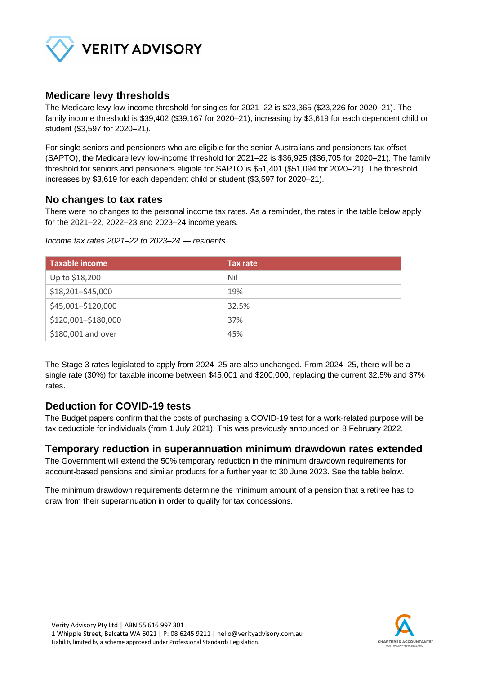

### **Medicare levy thresholds**

The Medicare levy low-income threshold for singles for 2021–22 is \$23,365 (\$23,226 for 2020–21). The family income threshold is \$39,402 (\$39,167 for 2020–21), increasing by \$3,619 for each dependent child or student (\$3,597 for 2020–21).

For single seniors and pensioners who are eligible for the senior Australians and pensioners tax offset (SAPTO), the Medicare levy low-income threshold for 2021–22 is \$36,925 (\$36,705 for 2020–21). The family threshold for seniors and pensioners eligible for SAPTO is \$51,401 (\$51,094 for 2020–21). The threshold increases by \$3,619 for each dependent child or student (\$3,597 for 2020–21).

### **No changes to tax rates**

There were no changes to the personal income tax rates. As a reminder, the rates in the table below apply for the 2021–22, 2022–23 and 2023–24 income years.

| <b>Taxable income</b> | Tax rate |
|-----------------------|----------|
| Up to \$18,200        | Nil      |
| \$18,201-\$45,000     | 19%      |
| \$45,001-\$120,000    | 32.5%    |
| \$120,001-\$180,000   | 37%      |
| \$180,001 and over    | 45%      |

*Income tax rates 2021–22 to 2023–24 — residents*

The Stage 3 rates legislated to apply from 2024–25 are also unchanged. From 2024–25, there will be a single rate (30%) for taxable income between \$45,001 and \$200,000, replacing the current 32.5% and 37% rates.

### **Deduction for COVID-19 tests**

The Budget papers confirm that the costs of purchasing a COVID-19 test for a work-related purpose will be tax deductible for individuals (from 1 July 2021). This was previously announced on 8 February 2022.

### **Temporary reduction in superannuation minimum drawdown rates extended**

The Government will extend the 50% temporary reduction in the minimum drawdown requirements for account-based pensions and similar products for a further year to 30 June 2023. See the table below.

The minimum drawdown requirements determine the minimum amount of a pension that a retiree has to draw from their superannuation in order to qualify for tax concessions.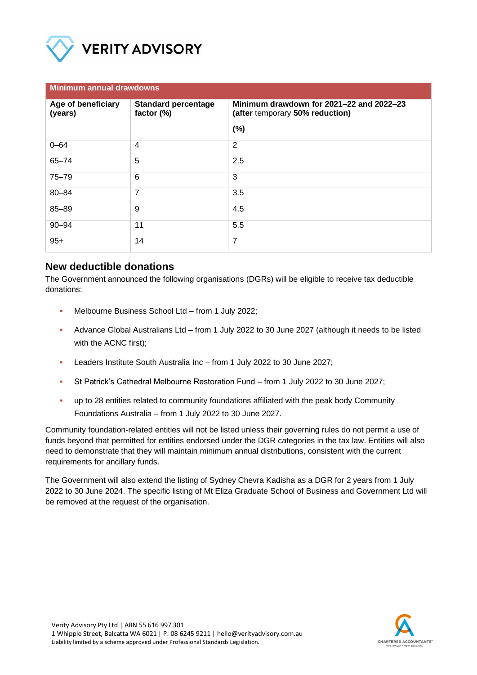

| <b>Minimum annual drawdowns</b> |                                          |                                                                             |
|---------------------------------|------------------------------------------|-----------------------------------------------------------------------------|
| Age of beneficiary<br>(years)   | <b>Standard percentage</b><br>factor (%) | Minimum drawdown for 2021–22 and 2022–23<br>(after temporary 50% reduction) |
|                                 |                                          | (%)                                                                         |
| $0 - 64$                        | 4                                        | $\overline{2}$                                                              |
| $65 - 74$                       | 5                                        | 2.5                                                                         |
| $75 - 79$                       | 6                                        | 3                                                                           |
| $80 - 84$                       | 7                                        | 3.5                                                                         |
| $85 - 89$                       | 9                                        | 4.5                                                                         |
| $90 - 94$                       | 11                                       | 5.5                                                                         |
| $95+$                           | 14                                       | $\overline{7}$                                                              |

### **New deductible donations**

The Government announced the following organisations (DGRs) will be eligible to receive tax deductible donations:

- **▪** Melbourne Business School Ltd from 1 July 2022;
- **▪** Advance Global Australians Ltd from 1 July 2022 to 30 June 2027 (although it needs to be listed with the ACNC first);
- **▪** Leaders Institute South Australia Inc from 1 July 2022 to 30 June 2027;
- **▪** St Patrick's Cathedral Melbourne Restoration Fund from 1 July 2022 to 30 June 2027;
- **▪** up to 28 entities related to community foundations affiliated with the peak body Community Foundations Australia – from 1 July 2022 to 30 June 2027.

Community foundation-related entities will not be listed unless their governing rules do not permit a use of funds beyond that permitted for entities endorsed under the DGR categories in the tax law. Entities will also need to demonstrate that they will maintain minimum annual distributions, consistent with the current requirements for ancillary funds.

The Government will also extend the listing of Sydney Chevra Kadisha as a DGR for 2 years from 1 July 2022 to 30 June 2024. The specific listing of Mt Eliza Graduate School of Business and Government Ltd will be removed at the request of the organisation.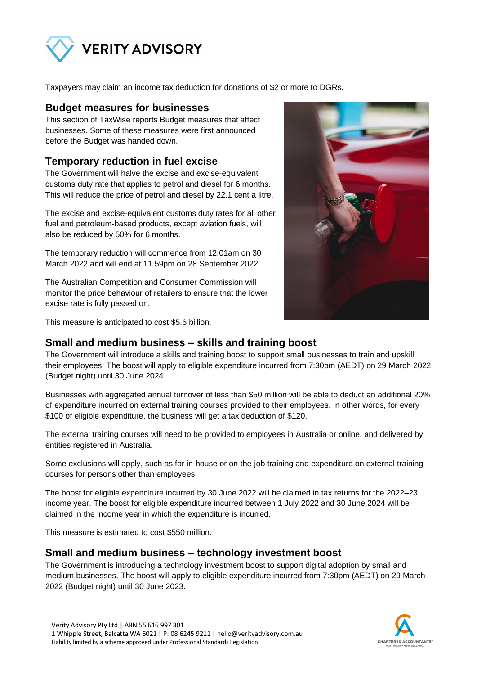

Taxpayers may claim an income tax deduction for donations of \$2 or more to DGRs.

### **Budget measures for businesses**

This section of TaxWise reports Budget measures that affect businesses. Some of these measures were first announced before the Budget was handed down.

### **Temporary reduction in fuel excise**

The Government will halve the excise and excise-equivalent customs duty rate that applies to petrol and diesel for 6 months. This will reduce the price of petrol and diesel by 22.1 cent a litre.

The excise and excise-equivalent customs duty rates for all other fuel and petroleum-based products, except aviation fuels, will also be reduced by 50% for 6 months.

The temporary reduction will commence from 12.01am on 30 March 2022 and will end at 11.59pm on 28 September 2022.

The Australian Competition and Consumer Commission will monitor the price behaviour of retailers to ensure that the lower excise rate is fully passed on.

This measure is anticipated to cost \$5.6 billion.

# **Small and medium business – skills and training boost**

The Government will introduce a skills and training boost to support small businesses to train and upskill their employees. The boost will apply to eligible expenditure incurred from 7:30pm (AEDT) on 29 March 2022 (Budget night) until 30 June 2024.

Businesses with aggregated annual turnover of less than \$50 million will be able to deduct an additional 20% of expenditure incurred on external training courses provided to their employees. In other words, for every \$100 of eligible expenditure, the business will get a tax deduction of \$120.

The external training courses will need to be provided to employees in Australia or online, and delivered by entities registered in Australia.

Some exclusions will apply, such as for in-house or on-the-job training and expenditure on external training courses for persons other than employees.

The boost for eligible expenditure incurred by 30 June 2022 will be claimed in tax returns for the 2022–23 income year. The boost for eligible expenditure incurred between 1 July 2022 and 30 June 2024 will be claimed in the income year in which the expenditure is incurred.

This measure is estimated to cost \$550 million.

### **Small and medium business – technology investment boost**

The Government is introducing a technology investment boost to support digital adoption by small and medium businesses. The boost will apply to eligible expenditure incurred from 7:30pm (AEDT) on 29 March 2022 (Budget night) until 30 June 2023.



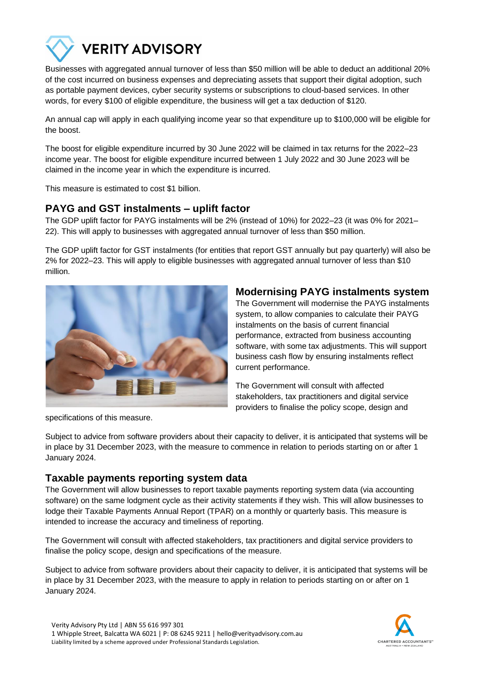

Businesses with aggregated annual turnover of less than \$50 million will be able to deduct an additional 20% of the cost incurred on business expenses and depreciating assets that support their digital adoption, such as portable payment devices, cyber security systems or subscriptions to cloud-based services. In other words, for every \$100 of eligible expenditure, the business will get a tax deduction of \$120.

An annual cap will apply in each qualifying income year so that expenditure up to \$100,000 will be eligible for the boost.

The boost for eligible expenditure incurred by 30 June 2022 will be claimed in tax returns for the 2022–23 income year. The boost for eligible expenditure incurred between 1 July 2022 and 30 June 2023 will be claimed in the income year in which the expenditure is incurred.

This measure is estimated to cost \$1 billion.

### **PAYG and GST instalments – uplift factor**

The GDP uplift factor for PAYG instalments will be 2% (instead of 10%) for 2022–23 (it was 0% for 2021– 22). This will apply to businesses with aggregated annual turnover of less than \$50 million.

The GDP uplift factor for GST instalments (for entities that report GST annually but pay quarterly) will also be 2% for 2022–23. This will apply to eligible businesses with aggregated annual turnover of less than \$10 million.



### **Modernising PAYG instalments system**

The Government will modernise the PAYG instalments system, to allow companies to calculate their PAYG instalments on the basis of current financial performance, extracted from business accounting software, with some tax adjustments. This will support business cash flow by ensuring instalments reflect current performance.

The Government will consult with affected stakeholders, tax practitioners and digital service providers to finalise the policy scope, design and

specifications of this measure.

Subject to advice from software providers about their capacity to deliver, it is anticipated that systems will be in place by 31 December 2023, with the measure to commence in relation to periods starting on or after 1 January 2024.

### **Taxable payments reporting system data**

The Government will allow businesses to report taxable payments reporting system data (via accounting software) on the same lodgment cycle as their activity statements if they wish. This will allow businesses to lodge their Taxable Payments Annual Report (TPAR) on a monthly or quarterly basis. This measure is intended to increase the accuracy and timeliness of reporting.

The Government will consult with affected stakeholders, tax practitioners and digital service providers to finalise the policy scope, design and specifications of the measure.

Subject to advice from software providers about their capacity to deliver, it is anticipated that systems will be in place by 31 December 2023, with the measure to apply in relation to periods starting on or after on 1 January 2024.

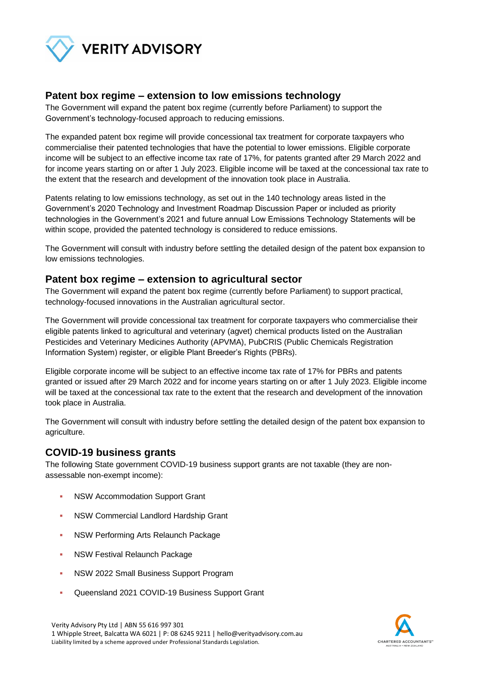

### **Patent box regime – extension to low emissions technology**

The Government will expand the patent box regime (currently before Parliament) to support the Government's technology-focused approach to reducing emissions.

The expanded patent box regime will provide concessional tax treatment for corporate taxpayers who commercialise their patented technologies that have the potential to lower emissions. Eligible corporate income will be subject to an effective income tax rate of 17%, for patents granted after 29 March 2022 and for income years starting on or after 1 July 2023. Eligible income will be taxed at the concessional tax rate to the extent that the research and development of the innovation took place in Australia.

Patents relating to low emissions technology, as set out in the 140 technology areas listed in the Government's 2020 Technology and Investment Roadmap Discussion Paper or included as priority technologies in the Government's 2021 and future annual Low Emissions Technology Statements will be within scope, provided the patented technology is considered to reduce emissions.

The Government will consult with industry before settling the detailed design of the patent box expansion to low emissions technologies.

### **Patent box regime – extension to agricultural sector**

The Government will expand the patent box regime (currently before Parliament) to support practical, technology-focused innovations in the Australian agricultural sector.

The Government will provide concessional tax treatment for corporate taxpayers who commercialise their eligible patents linked to agricultural and veterinary (agvet) chemical products listed on the Australian Pesticides and Veterinary Medicines Authority (APVMA), PubCRIS (Public Chemicals Registration Information System) register, or eligible Plant Breeder's Rights (PBRs).

Eligible corporate income will be subject to an effective income tax rate of 17% for PBRs and patents granted or issued after 29 March 2022 and for income years starting on or after 1 July 2023. Eligible income will be taxed at the concessional tax rate to the extent that the research and development of the innovation took place in Australia.

The Government will consult with industry before settling the detailed design of the patent box expansion to agriculture.

### **COVID-19 business grants**

The following State government COVID-19 business support grants are not taxable (they are nonassessable non-exempt income):

- **NSW Accommodation Support Grant**
- **NSW Commercial Landlord Hardship Grant**
- **▪** NSW Performing Arts Relaunch Package
- **▪** NSW Festival Relaunch Package
- **NSW 2022 Small Business Support Program**
- Queensland 2021 COVID-19 Business Support Grant

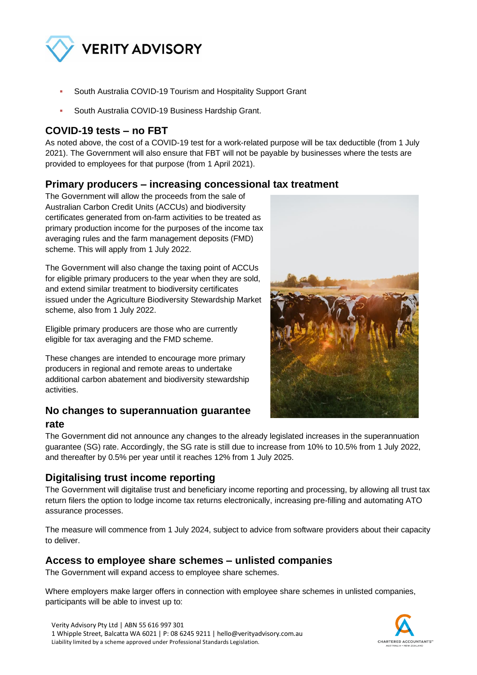

- **▪** South Australia COVID-19 Tourism and Hospitality Support Grant
- **▪** South Australia COVID-19 Business Hardship Grant.

### **COVID-19 tests – no FBT**

As noted above, the cost of a COVID-19 test for a work-related purpose will be tax deductible (from 1 July 2021). The Government will also ensure that FBT will not be payable by businesses where the tests are provided to employees for that purpose (from 1 April 2021).

### **Primary producers – increasing concessional tax treatment**

The Government will allow the proceeds from the sale of Australian Carbon Credit Units (ACCUs) and biodiversity certificates generated from on-farm activities to be treated as primary production income for the purposes of the income tax averaging rules and the farm management deposits (FMD) scheme. This will apply from 1 July 2022.

The Government will also change the taxing point of ACCUs for eligible primary producers to the year when they are sold, and extend similar treatment to biodiversity certificates issued under the Agriculture Biodiversity Stewardship Market scheme, also from 1 July 2022.

Eligible primary producers are those who are currently eligible for tax averaging and the FMD scheme.

These changes are intended to encourage more primary producers in regional and remote areas to undertake additional carbon abatement and biodiversity stewardship activities.

# **No changes to superannuation guarantee**

### **rate**

The Government did not announce any changes to the already legislated increases in the superannuation guarantee (SG) rate. Accordingly, the SG rate is still due to increase from 10% to 10.5% from 1 July 2022, and thereafter by 0.5% per year until it reaches 12% from 1 July 2025.

### **Digitalising trust income reporting**

The Government will digitalise trust and beneficiary income reporting and processing, by allowing all trust tax return filers the option to lodge income tax returns electronically, increasing pre-filling and automating ATO assurance processes.

The measure will commence from 1 July 2024, subject to advice from software providers about their capacity to deliver.

### **Access to employee share schemes – unlisted companies**

The Government will expand access to employee share schemes.

Where employers make larger offers in connection with employee share schemes in unlisted companies, participants will be able to invest up to:



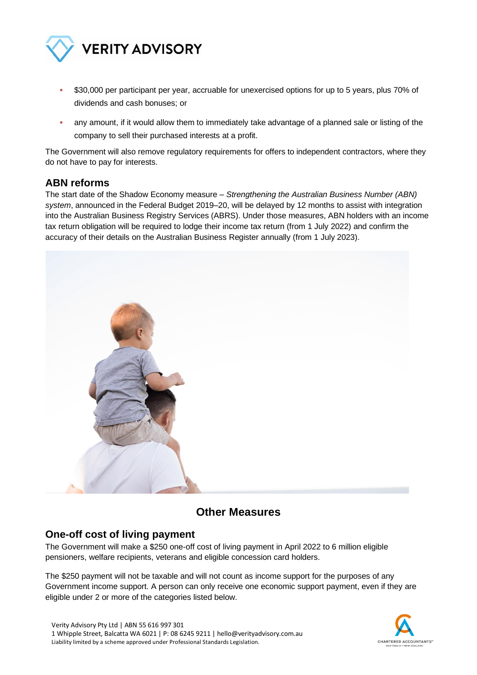

- **▪** \$30,000 per participant per year, accruable for unexercised options for up to 5 years, plus 70% of dividends and cash bonuses; or
- any amount, if it would allow them to immediately take advantage of a planned sale or listing of the company to sell their purchased interests at a profit.

The Government will also remove regulatory requirements for offers to independent contractors, where they do not have to pay for interests.

### **ABN reforms**

The start date of the Shadow Economy measure – *Strengthening the Australian Business Number (ABN) system*, announced in the Federal Budget 2019–20, will be delayed by 12 months to assist with integration into the Australian Business Registry Services (ABRS). Under those measures, ABN holders with an income tax return obligation will be required to lodge their income tax return (from 1 July 2022) and confirm the accuracy of their details on the Australian Business Register annually (from 1 July 2023).



## **Other Measures**

### **One-off cost of living payment**

The Government will make a \$250 one-off cost of living payment in April 2022 to 6 million eligible pensioners, welfare recipients, veterans and eligible concession card holders.

The \$250 payment will not be taxable and will not count as income support for the purposes of any Government income support. A person can only receive one economic support payment, even if they are eligible under 2 or more of the categories listed below.

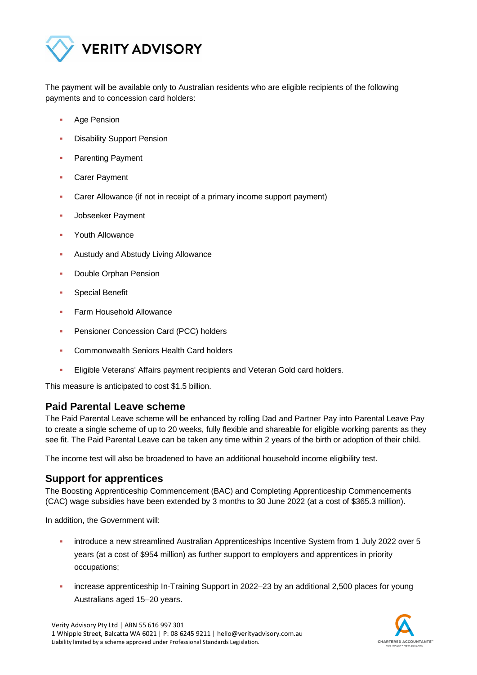

The payment will be available only to Australian residents who are eligible recipients of the following payments and to concession card holders:

- **Age Pension**
- **Disability Support Pension**
- **▪** Parenting Payment
- **▪** Carer Payment
- Carer Allowance (if not in receipt of a primary income support payment)
- **▪** Jobseeker Payment
- **▪** Youth Allowance
- Austudy and Abstudy Living Allowance
- **▪** Double Orphan Pension
- **▪** Special Benefit
- **▪** Farm Household Allowance
- Pensioner Concession Card (PCC) holders
- **▪** Commonwealth Seniors Health Card holders
- **▪** Eligible Veterans' Affairs payment recipients and Veteran Gold card holders.

This measure is anticipated to cost \$1.5 billion.

### **Paid Parental Leave scheme**

The Paid Parental Leave scheme will be enhanced by rolling Dad and Partner Pay into Parental Leave Pay to create a single scheme of up to 20 weeks, fully flexible and shareable for eligible working parents as they see fit. The Paid Parental Leave can be taken any time within 2 years of the birth or adoption of their child.

The income test will also be broadened to have an additional household income eligibility test.

### **Support for apprentices**

The Boosting Apprenticeship Commencement (BAC) and Completing Apprenticeship Commencements (CAC) wage subsidies have been extended by 3 months to 30 June 2022 (at a cost of \$365.3 million).

In addition, the Government will:

- **▪** introduce a new streamlined Australian Apprenticeships Incentive System from 1 July 2022 over 5 years (at a cost of \$954 million) as further support to employers and apprentices in priority occupations;
- **▪** increase apprenticeship In-Training Support in 2022–23 by an additional 2,500 places for young Australians aged 15–20 years.

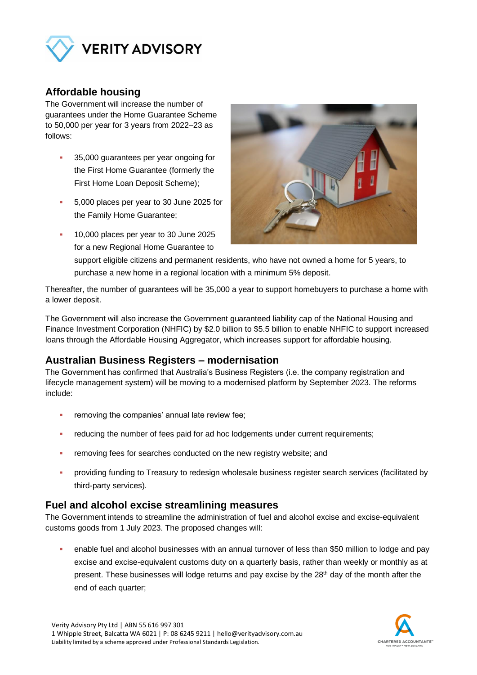

## **Affordable housing**

The Government will increase the number of guarantees under the Home Guarantee Scheme to 50,000 per year for 3 years from 2022–23 as follows:

- **▪** 35,000 guarantees per year ongoing for the First Home Guarantee (formerly the First Home Loan Deposit Scheme);
- **▪** 5,000 places per year to 30 June 2025 for the Family Home Guarantee;
- **▪** 10,000 places per year to 30 June 2025 for a new Regional Home Guarantee to



support eligible citizens and permanent residents, who have not owned a home for 5 years, to purchase a new home in a regional location with a minimum 5% deposit.

Thereafter, the number of guarantees will be 35,000 a year to support homebuyers to purchase a home with a lower deposit.

The Government will also increase the Government guaranteed liability cap of the National Housing and Finance Investment Corporation (NHFIC) by \$2.0 billion to \$5.5 billion to enable NHFIC to support increased loans through the Affordable Housing Aggregator, which increases support for affordable housing.

### **Australian Business Registers – modernisation**

The Government has confirmed that Australia's Business Registers (i.e. the company registration and lifecycle management system) will be moving to a modernised platform by September 2023. The reforms include:

- removing the companies' annual late review fee;
- reducing the number of fees paid for ad hoc lodgements under current requirements;
- **▪** removing fees for searches conducted on the new registry website; and
- **▪** providing funding to Treasury to redesign wholesale business register search services (facilitated by third-party services).

### **Fuel and alcohol excise streamlining measures**

The Government intends to streamline the administration of fuel and alcohol excise and excise-equivalent customs goods from 1 July 2023. The proposed changes will:

**▪** enable fuel and alcohol businesses with an annual turnover of less than \$50 million to lodge and pay excise and excise-equivalent customs duty on a quarterly basis, rather than weekly or monthly as at present. These businesses will lodge returns and pay excise by the 28<sup>th</sup> day of the month after the end of each quarter;

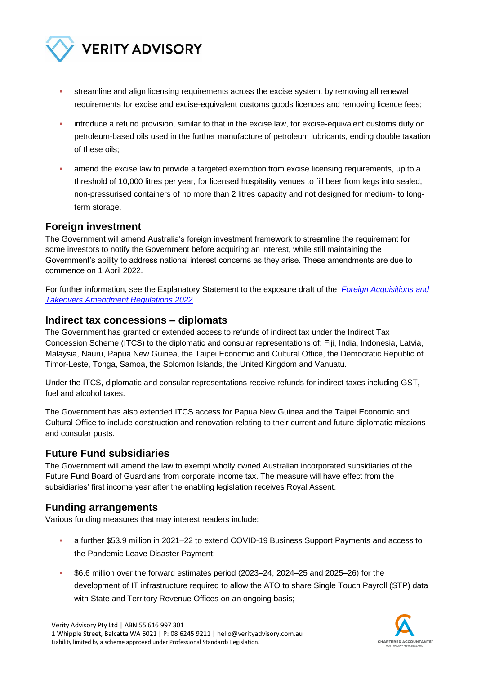

- streamline and align licensing requirements across the excise system, by removing all renewal requirements for excise and excise-equivalent customs goods licences and removing licence fees;
- **▪** introduce a refund provision, similar to that in the excise law, for excise-equivalent customs duty on petroleum-based oils used in the further manufacture of petroleum lubricants, ending double taxation of these oils;
- amend the excise law to provide a targeted exemption from excise licensing requirements, up to a threshold of 10,000 litres per year, for licensed hospitality venues to fill beer from kegs into sealed, non-pressurised containers of no more than 2 litres capacity and not designed for medium- to longterm storage.

### **Foreign investment**

The Government will amend Australia's foreign investment framework to streamline the requirement for some investors to notify the Government before acquiring an interest, while still maintaining the Government's ability to address national interest concerns as they arise. These amendments are due to commence on 1 April 2022.

For further information, see the Explanatory Statement to the exposure draft of the *[Foreign Acquisitions and](https://treasury.gov.au/consultation/c2022-244363-edr)  [Takeovers Amendment Regulations 2022](https://treasury.gov.au/consultation/c2022-244363-edr)*.

### **Indirect tax concessions – diplomats**

The Government has granted or extended access to refunds of indirect tax under the Indirect Tax Concession Scheme (ITCS) to the diplomatic and consular representations of: Fiji, India, Indonesia, Latvia, Malaysia, Nauru, Papua New Guinea, the Taipei Economic and Cultural Office, the Democratic Republic of Timor-Leste, Tonga, Samoa, the Solomon Islands, the United Kingdom and Vanuatu.

Under the ITCS, diplomatic and consular representations receive refunds for indirect taxes including GST, fuel and alcohol taxes.

The Government has also extended ITCS access for Papua New Guinea and the Taipei Economic and Cultural Office to include construction and renovation relating to their current and future diplomatic missions and consular posts.

### **Future Fund subsidiaries**

The Government will amend the law to exempt wholly owned Australian incorporated subsidiaries of the Future Fund Board of Guardians from corporate income tax. The measure will have effect from the subsidiaries' first income year after the enabling legislation receives Royal Assent.

### **Funding arrangements**

Various funding measures that may interest readers include:

- **▪** a further \$53.9 million in 2021–22 to extend COVID-19 Business Support Payments and access to the Pandemic Leave Disaster Payment;
- **▪** \$6.6 million over the forward estimates period (2023–24, 2024–25 and 2025–26) for the development of IT infrastructure required to allow the ATO to share Single Touch Payroll (STP) data with State and Territory Revenue Offices on an ongoing basis;

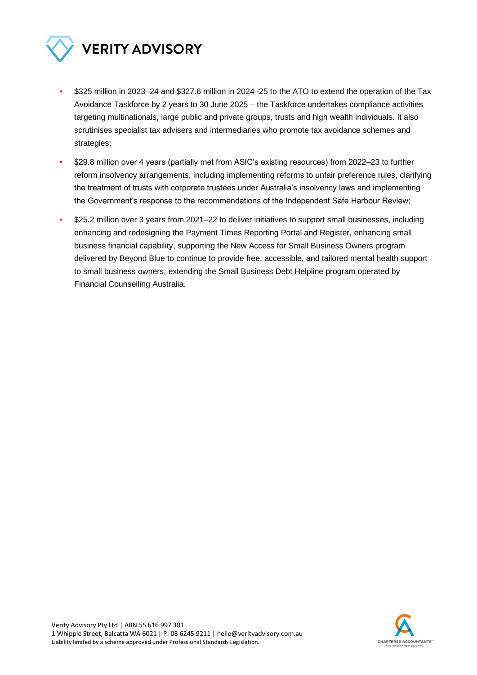

- **▪** \$325 million in 2023–24 and \$327.6 million in 2024–25 to the ATO to extend the operation of the Tax Avoidance Taskforce by 2 years to 30 June 2025 – the Taskforce undertakes compliance activities targeting multinationals, large public and private groups, trusts and high wealth individuals. It also scrutinises specialist tax advisers and intermediaries who promote tax avoidance schemes and strategies;
- **▪** \$29.8 million over 4 years (partially met from ASIC's existing resources) from 2022–23 to further reform insolvency arrangements, including implementing reforms to unfair preference rules, clarifying the treatment of trusts with corporate trustees under Australia's insolvency laws and implementing the Government's response to the recommendations of the Independent Safe Harbour Review;
- **▪** \$25.2 million over 3 years from 2021–22 to deliver initiatives to support small businesses, including enhancing and redesigning the Payment Times Reporting Portal and Register, enhancing small business financial capability, supporting the New Access for Small Business Owners program delivered by Beyond Blue to continue to provide free, accessible, and tailored mental health support to small business owners, extending the Small Business Debt Helpline program operated by Financial Counselling Australia.